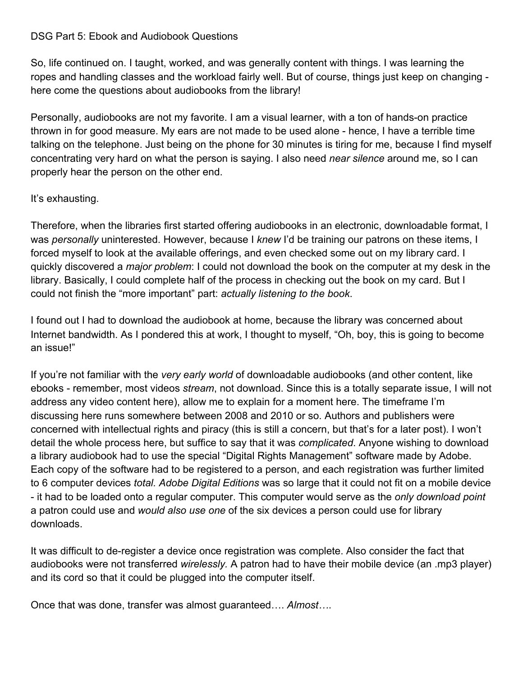## DSG Part 5: Ebook and Audiobook Questions

So, life continued on. I taught, worked, and was generally content with things. I was learning the ropes and handling classes and the workload fairly well. But of course, things just keep on changing here come the questions about audiobooks from the library!

Personally, audiobooks are not my favorite. I am a visual learner, with a ton of hands-on practice thrown in for good measure. My ears are not made to be used alone - hence, I have a terrible time talking on the telephone. Just being on the phone for 30 minutes is tiring for me, because I find myself concentrating very hard on what the person is saying. I also need *near silence* around me, so I can properly hear the person on the other end.

## It's exhausting.

Therefore, when the libraries first started offering audiobooks in an electronic, downloadable format, I was *personally* uninterested. However, because I *knew* I'd be training our patrons on these items, I forced myself to look at the available offerings, and even checked some out on my library card. I quickly discovered a *major problem*: I could not download the book on the computer at my desk in the library. Basically, I could complete half of the process in checking out the book on my card. But I could not finish the "more important" part: *actually listening to the book*.

I found out I had to download the audiobook at home, because the library was concerned about Internet bandwidth. As I pondered this at work, I thought to myself, "Oh, boy, this is going to become an issue!"

If you're not familiar with the *very early world* of downloadable audiobooks (and other content, like ebooks - remember, most videos *stream*, not download. Since this is a totally separate issue, I will not address any video content here), allow me to explain for a moment here. The timeframe I'm discussing here runs somewhere between 2008 and 2010 or so. Authors and publishers were concerned with intellectual rights and piracy (this is still a concern, but that's for a later post). I won't detail the whole process here, but suffice to say that it was *complicated*. Anyone wishing to download a library audiobook had to use the special "Digital Rights Management" software made by Adobe. Each copy of the software had to be registered to a person, and each registration was further limited to 6 computer devices *total. Adobe Digital Editions* was so large that it could not fit on a mobile device - it had to be loaded onto a regular computer. This computer would serve as the *only download point* a patron could use and *would also use one* of the six devices a person could use for library downloads.

It was difficult to de-register a device once registration was complete. Also consider the fact that audiobooks were not transferred *wirelessly.* A patron had to have their mobile device (an .mp3 player) and its cord so that it could be plugged into the computer itself.

Once that was done, transfer was almost guaranteed…. *Almost…*.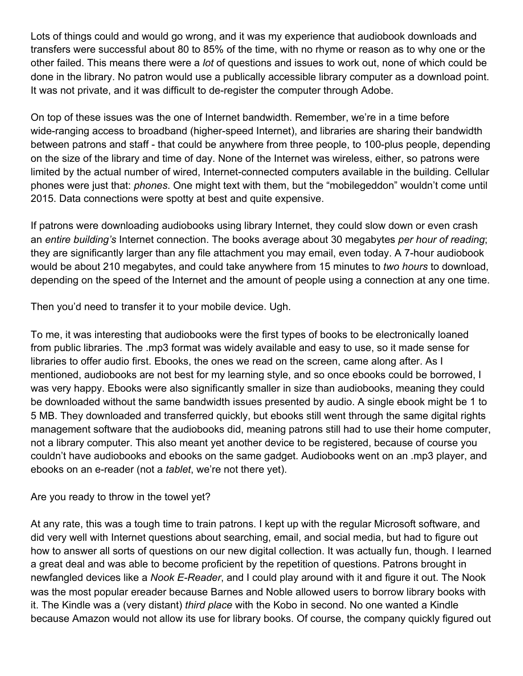Lots of things could and would go wrong, and it was my experience that audiobook downloads and transfers were successful about 80 to 85% of the time, with no rhyme or reason as to why one or the other failed. This means there were a *lot* of questions and issues to work out, none of which could be done in the library. No patron would use a publically accessible library computer as a download point. It was not private, and it was difficult to de-register the computer through Adobe.

On top of these issues was the one of Internet bandwidth. Remember, we're in a time before wide-ranging access to broadband (higher-speed Internet), and libraries are sharing their bandwidth between patrons and staff - that could be anywhere from three people, to 100-plus people, depending on the size of the library and time of day. None of the Internet was wireless, either, so patrons were limited by the actual number of wired, Internet-connected computers available in the building. Cellular phones were just that: *phones*. One might text with them, but the "mobilegeddon" wouldn't come until 2015. Data connections were spotty at best and quite expensive.

If patrons were downloading audiobooks using library Internet, they could slow down or even crash an *entire building's* Internet connection. The books average about 30 megabytes *per hour of reading*; they are significantly larger than any file attachment you may email, even today. A 7-hour audiobook would be about 210 megabytes, and could take anywhere from 15 minutes to *two hours* to download, depending on the speed of the Internet and the amount of people using a connection at any one time.

Then you'd need to transfer it to your mobile device. Ugh.

To me, it was interesting that audiobooks were the first types of books to be electronically loaned from public libraries. The .mp3 format was widely available and easy to use, so it made sense for libraries to offer audio first. Ebooks, the ones we read on the screen, came along after. As I mentioned, audiobooks are not best for my learning style, and so once ebooks could be borrowed, I was very happy. Ebooks were also significantly smaller in size than audiobooks, meaning they could be downloaded without the same bandwidth issues presented by audio. A single ebook might be 1 to 5 MB. They downloaded and transferred quickly, but ebooks still went through the same digital rights management software that the audiobooks did, meaning patrons still had to use their home computer, not a library computer. This also meant yet another device to be registered, because of course you couldn't have audiobooks and ebooks on the same gadget. Audiobooks went on an .mp3 player, and ebooks on an e-reader (not a *tablet*, we're not there yet).

## Are you ready to throw in the towel yet?

At any rate, this was a tough time to train patrons. I kept up with the regular Microsoft software, and did very well with Internet questions about searching, email, and social media, but had to figure out how to answer all sorts of questions on our new digital collection. It was actually fun, though. I learned a great deal and was able to become proficient by the repetition of questions. Patrons brought in newfangled devices like a *Nook E-Reader*, and I could play around with it and figure it out. The Nook was the most popular ereader because Barnes and Noble allowed users to borrow library books with it. The Kindle was a (very distant) *third place* with the Kobo in second. No one wanted a Kindle because Amazon would not allow its use for library books. Of course, the company quickly figured out